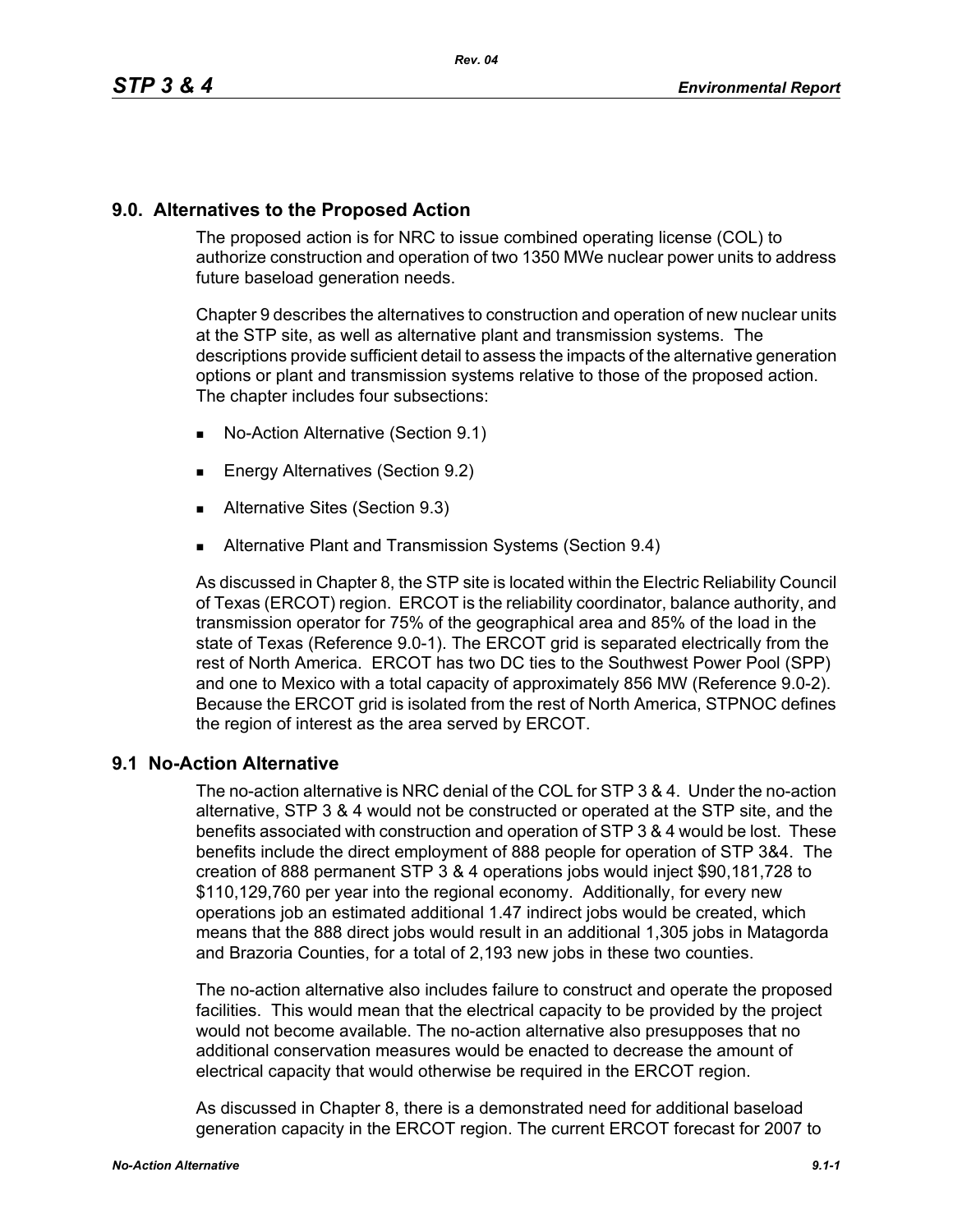## **9.0. Alternatives to the Proposed Action**

The proposed action is for NRC to issue combined operating license (COL) to authorize construction and operation of two 1350 MWe nuclear power units to address future baseload generation needs.

Chapter 9 describes the alternatives to construction and operation of new nuclear units at the STP site, as well as alternative plant and transmission systems. The descriptions provide sufficient detail to assess the impacts of the alternative generation options or plant and transmission systems relative to those of the proposed action. The chapter includes four subsections:

- No-Action Alternative (Section 9.1)
- **Energy Alternatives (Section 9.2)**
- **Alternative Sites (Section 9.3)**
- **Alternative Plant and Transmission Systems (Section 9.4)**

As discussed in Chapter 8, the STP site is located within the Electric Reliability Council of Texas (ERCOT) region. ERCOT is the reliability coordinator, balance authority, and transmission operator for 75% of the geographical area and 85% of the load in the state of Texas (Reference 9.0-1). The ERCOT grid is separated electrically from the rest of North America. ERCOT has two DC ties to the Southwest Power Pool (SPP) and one to Mexico with a total capacity of approximately 856 MW (Reference 9.0-2). Because the ERCOT grid is isolated from the rest of North America, STPNOC defines the region of interest as the area served by ERCOT.

## **9.1 No-Action Alternative**

The no-action alternative is NRC denial of the COL for STP 3 & 4. Under the no-action alternative, STP 3 & 4 would not be constructed or operated at the STP site, and the benefits associated with construction and operation of STP 3 & 4 would be lost. These benefits include the direct employment of 888 people for operation of STP 3&4. The creation of 888 permanent STP 3 & 4 operations jobs would inject \$90,181,728 to \$110,129,760 per year into the regional economy. Additionally, for every new operations job an estimated additional 1.47 indirect jobs would be created, which means that the 888 direct jobs would result in an additional 1,305 jobs in Matagorda and Brazoria Counties, for a total of 2,193 new jobs in these two counties.

The no-action alternative also includes failure to construct and operate the proposed facilities. This would mean that the electrical capacity to be provided by the project would not become available. The no-action alternative also presupposes that no additional conservation measures would be enacted to decrease the amount of electrical capacity that would otherwise be required in the ERCOT region.

As discussed in Chapter 8, there is a demonstrated need for additional baseload generation capacity in the ERCOT region. The current ERCOT forecast for 2007 to